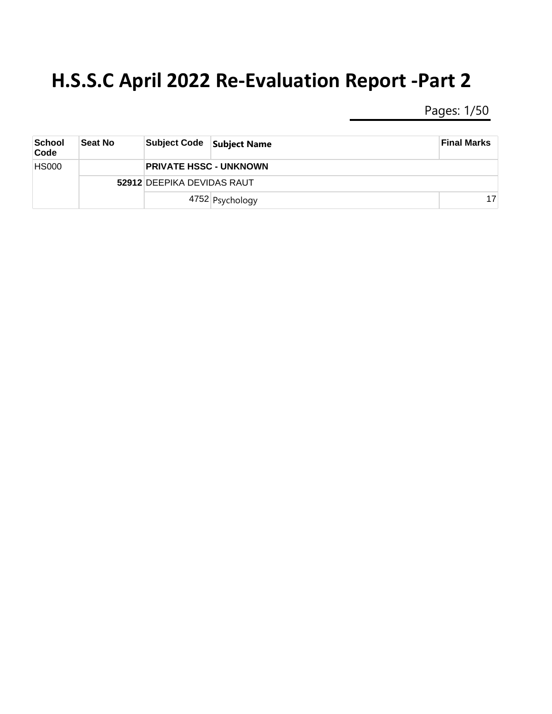Pages: 1/50

| School<br>Code | <b>Seat No</b> | <b>Subject Code</b>        | <b>Subject Name</b>           | <b>Final Marks</b> |  |  |
|----------------|----------------|----------------------------|-------------------------------|--------------------|--|--|
| <b>HS000</b>   |                |                            | <b>PRIVATE HSSC - UNKNOWN</b> |                    |  |  |
|                |                | 52912 DEEPIKA DEVIDAS RAUT |                               |                    |  |  |
|                |                |                            | 4752 Psychology               | 17                 |  |  |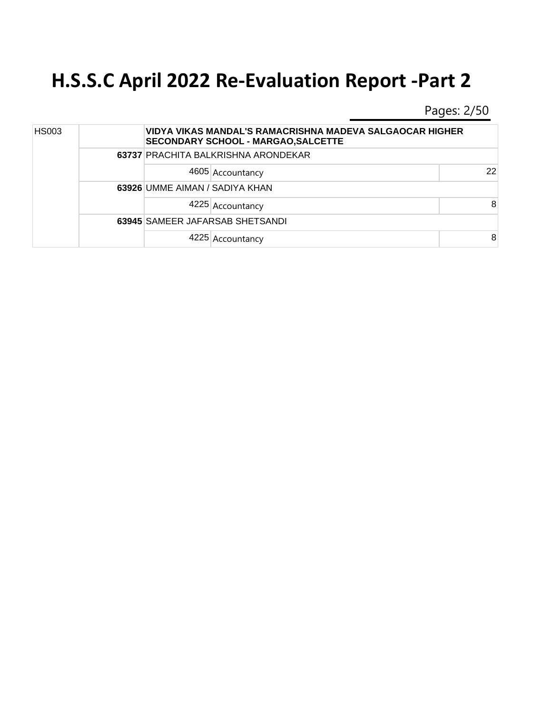Pages: 2/50

| <b>HS003</b> |  |                                | VIDYA VIKAS MANDAL'S RAMACRISHNA MADEVA SALGAOCAR HIGHER<br><b>SECONDARY SCHOOL - MARGAO, SALCETTE</b> |    |  |  |
|--------------|--|--------------------------------|--------------------------------------------------------------------------------------------------------|----|--|--|
|              |  |                                | 63737 PRACHITA BALKRISHNA ARONDEKAR                                                                    |    |  |  |
|              |  |                                | 4605 Accountancy                                                                                       | 22 |  |  |
|              |  | 63926 UMME AIMAN / SADIYA KHAN |                                                                                                        |    |  |  |
|              |  |                                | 4225 Accountancy                                                                                       | 8  |  |  |
|              |  |                                | 63945 SAMEER JAFARSAB SHETSANDI                                                                        |    |  |  |
|              |  |                                | 4225 Accountancy                                                                                       | 8  |  |  |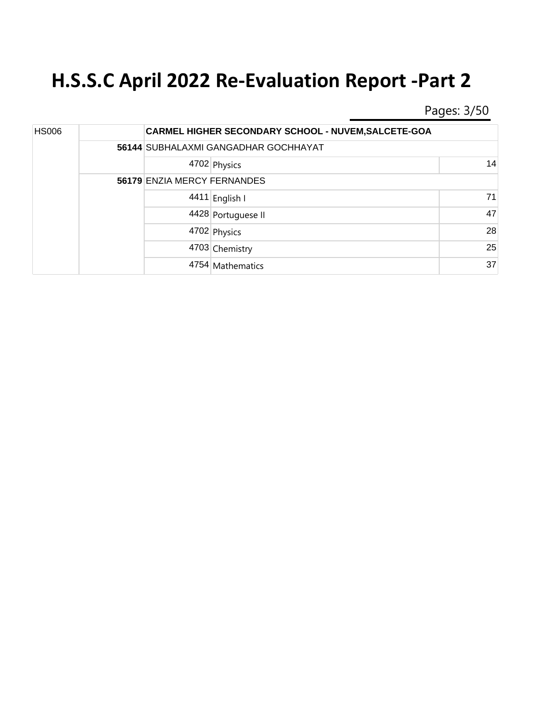Pages: 3/50

| <b>HS006</b> |  |                             | <b>CARMEL HIGHER SECONDARY SCHOOL - NUVEM, SALCETE-GOA</b> |    |
|--------------|--|-----------------------------|------------------------------------------------------------|----|
|              |  |                             | 56144 SUBHALAXMI GANGADHAR GOCHHAYAT                       |    |
|              |  |                             | 4702 Physics                                               | 14 |
|              |  | 56179 ENZIA MERCY FERNANDES |                                                            |    |
|              |  | 4411                        | English I                                                  | 71 |
|              |  |                             | 4428 Portuguese II                                         | 47 |
|              |  |                             | 4702 Physics                                               | 28 |
|              |  |                             | 4703 Chemistry                                             | 25 |
|              |  |                             | 4754 Mathematics                                           | 37 |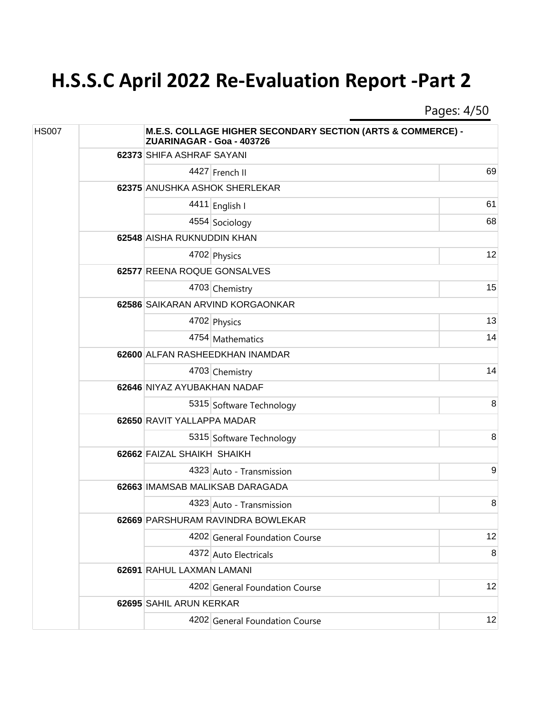Pages: 4/50

| <b>HS007</b> |  | ZUARINAGAR - Goa - 403726       | M.E.S. COLLAGE HIGHER SECONDARY SECTION (ARTS & COMMERCE) - |    |
|--------------|--|---------------------------------|-------------------------------------------------------------|----|
|              |  | 62373 SHIFA ASHRAF SAYANI       |                                                             |    |
|              |  |                                 | 4427 French II                                              | 69 |
|              |  |                                 | 62375 ANUSHKA ASHOK SHERLEKAR                               |    |
|              |  |                                 | 4411 English I                                              | 61 |
|              |  |                                 | 4554 Sociology                                              | 68 |
|              |  | 62548 AISHA RUKNUDDIN KHAN      |                                                             |    |
|              |  |                                 | 4702 Physics                                                | 12 |
|              |  | 62577 REENA ROQUE GONSALVES     |                                                             |    |
|              |  |                                 | 4703 Chemistry                                              | 15 |
|              |  |                                 | 62586 SAIKARAN ARVIND KORGAONKAR                            |    |
|              |  |                                 | 4702 Physics                                                | 13 |
|              |  |                                 | 4754 Mathematics                                            | 14 |
|              |  | 62600 ALFAN RASHEEDKHAN INAMDAR |                                                             |    |
|              |  |                                 | 4703 Chemistry                                              | 14 |
|              |  | 62646 NIYAZ AYUBAKHAN NADAF     |                                                             |    |
|              |  |                                 | 5315 Software Technology                                    | 8  |
|              |  | 62650 RAVIT YALLAPPA MADAR      |                                                             |    |
|              |  |                                 | 5315 Software Technology                                    | 8  |
|              |  | 62662 FAIZAL SHAIKH SHAIKH      |                                                             |    |
|              |  |                                 | 4323 Auto - Transmission                                    | 9  |
|              |  |                                 | 62663 IMAMSAB MALIKSAB DARAGADA                             |    |
|              |  |                                 | 4323 Auto - Transmission                                    | 8  |
|              |  |                                 | 62669 PARSHURAM RAVINDRA BOWLEKAR                           |    |
|              |  |                                 | 4202 General Foundation Course                              | 12 |
|              |  |                                 | 4372 Auto Electricals                                       | 8  |
|              |  | 62691 RAHUL LAXMAN LAMANI       |                                                             |    |
|              |  |                                 | 4202 General Foundation Course                              | 12 |
|              |  | 62695 SAHIL ARUN KERKAR         |                                                             |    |
|              |  |                                 | 4202 General Foundation Course                              | 12 |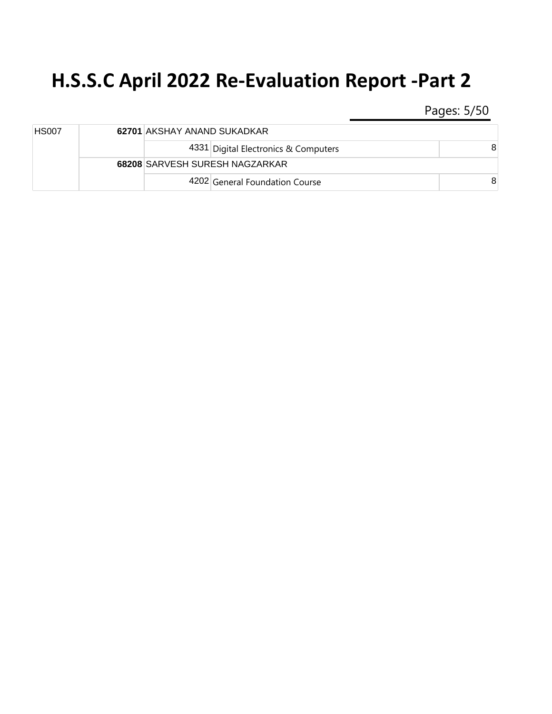Pages: 5/50

| <b>HS007</b> | 62701 AKSHAY ANAND SUKADKAR |                                      |   |
|--------------|-----------------------------|--------------------------------------|---|
|              |                             | 4331 Digital Electronics & Computers | 8 |
|              |                             | 68208 SARVESH SURESH NAGZARKAR       |   |
|              |                             | 4202 General Foundation Course       | 8 |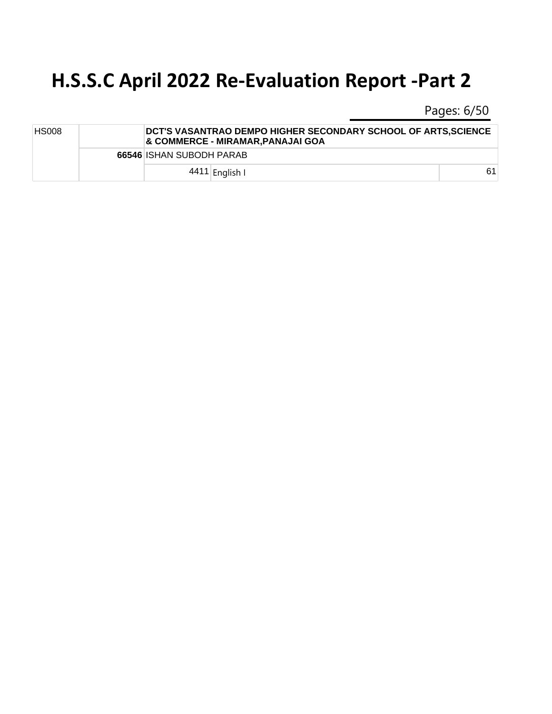Pages: 6/50

| <b>HS008</b> | DCT'S VASANTRAO DEMPO HIGHER SECONDARY SCHOOL OF ARTS,SCIENCE<br>& COMMERCE - MIRAMAR,PANAJAI GOA |    |
|--------------|---------------------------------------------------------------------------------------------------|----|
|              | 66546 ISHAN SUBODH PARAB                                                                          |    |
|              | 4411 English I                                                                                    | 61 |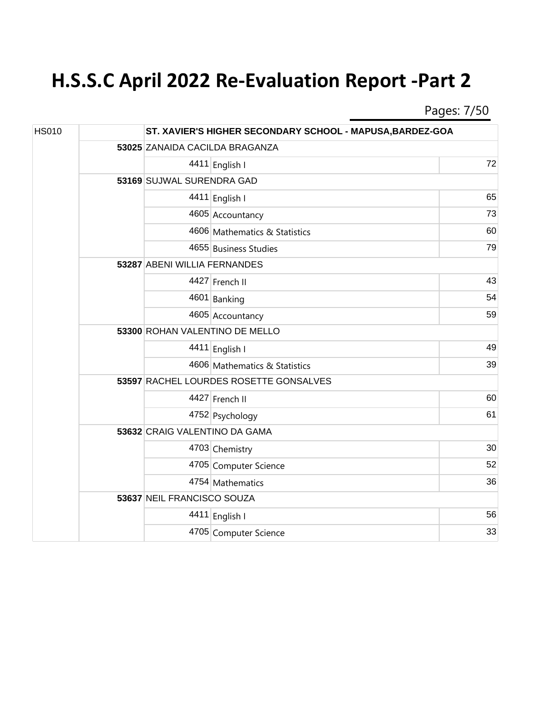Pages: 7/50

| <b>HS010</b> |  |                                        | ST. XAVIER'S HIGHER SECONDARY SCHOOL - MAPUSA, BARDEZ-GOA |    |  |  |
|--------------|--|----------------------------------------|-----------------------------------------------------------|----|--|--|
|              |  |                                        | 53025 ZANAIDA CACILDA BRAGANZA                            |    |  |  |
|              |  |                                        | 4411 English I                                            | 72 |  |  |
|              |  | 53169 SUJWAL SURENDRA GAD              |                                                           |    |  |  |
|              |  |                                        | 4411 English I                                            | 65 |  |  |
|              |  |                                        | 4605 Accountancy                                          | 73 |  |  |
|              |  |                                        | 4606 Mathematics & Statistics                             | 60 |  |  |
|              |  |                                        | 4655 Business Studies                                     | 79 |  |  |
|              |  |                                        | 53287 ABENI WILLIA FERNANDES                              |    |  |  |
|              |  |                                        | 4427 French II                                            | 43 |  |  |
|              |  |                                        | 4601 Banking                                              | 54 |  |  |
|              |  |                                        | 4605 Accountancy                                          | 59 |  |  |
|              |  | 53300 ROHAN VALENTINO DE MELLO         |                                                           |    |  |  |
|              |  |                                        | 4411 English I                                            | 49 |  |  |
|              |  |                                        | 4606 Mathematics & Statistics                             | 39 |  |  |
|              |  | 53597 RACHEL LOURDES ROSETTE GONSALVES |                                                           |    |  |  |
|              |  |                                        | 4427 French II                                            | 60 |  |  |
|              |  |                                        | 4752 Psychology                                           | 61 |  |  |
|              |  | 53632 CRAIG VALENTINO DA GAMA          |                                                           |    |  |  |
|              |  |                                        | 4703 Chemistry                                            | 30 |  |  |
|              |  |                                        | 4705 Computer Science                                     | 52 |  |  |
|              |  |                                        | 4754 Mathematics                                          | 36 |  |  |
|              |  | 53637 NEIL FRANCISCO SOUZA             |                                                           |    |  |  |
|              |  |                                        | 4411 English I                                            | 56 |  |  |
|              |  |                                        | 4705 Computer Science                                     | 33 |  |  |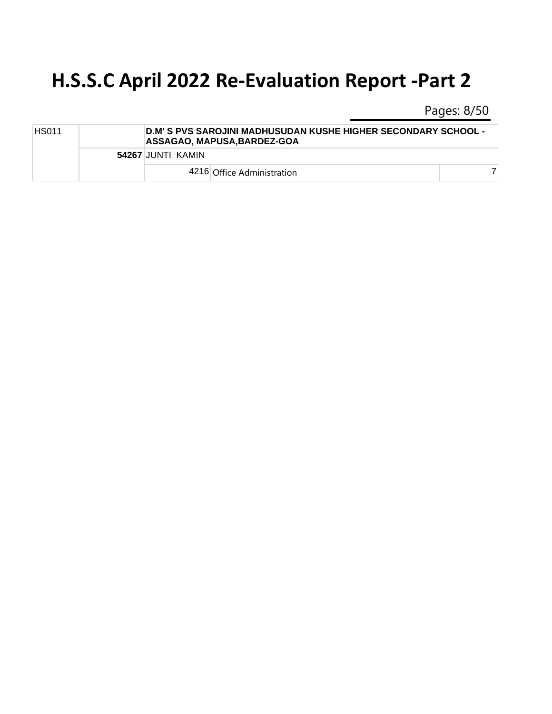Pages: 8/50

| <b>HS011</b> |                   | ∣D.M' S PVS SAROJINI MADHUSUDAN KUSHE HIGHER SECONDARY SCHOOL -<br><b>ASSAGAO, MAPUSA, BARDEZ-GOA</b> |  |  |  |  |
|--------------|-------------------|-------------------------------------------------------------------------------------------------------|--|--|--|--|
|              | 54267 JUNTI KAMIN |                                                                                                       |  |  |  |  |
|              |                   | 4216 Office Administration                                                                            |  |  |  |  |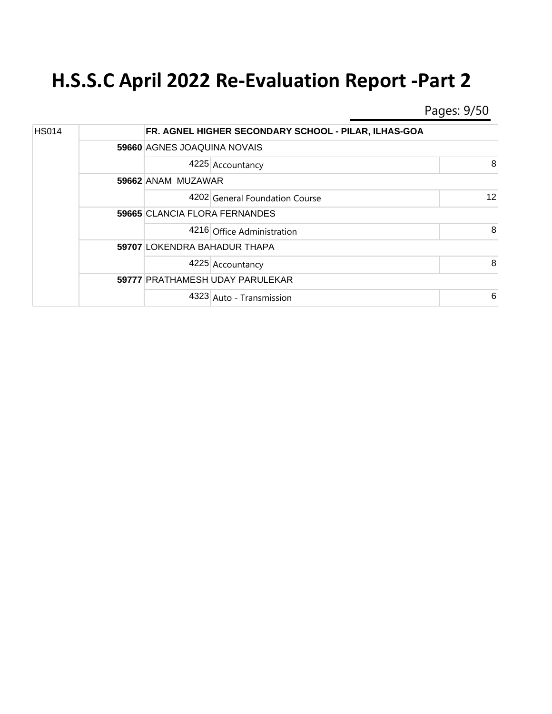Pages: 9/50

| <b>HS014</b> |  |                               | FR. AGNEL HIGHER SECONDARY SCHOOL - PILAR, ILHAS-GOA |    |  |
|--------------|--|-------------------------------|------------------------------------------------------|----|--|
|              |  |                               | 59660 AGNES JOAQUINA NOVAIS                          |    |  |
|              |  |                               | 4225 Accountancy                                     | 8  |  |
|              |  | 59662 ANAM MUZAWAR            |                                                      |    |  |
|              |  |                               | 4202 General Foundation Course                       | 12 |  |
|              |  | 59665 CLANCIA FLORA FERNANDES |                                                      |    |  |
|              |  |                               | 4216 Office Administration                           | 8  |  |
|              |  | 59707 LOKENDRA BAHADUR THAPA  |                                                      |    |  |
|              |  |                               | 4225 Accountancy                                     | 8  |  |
|              |  |                               | 59777 PRATHAMESH UDAY PARULEKAR                      |    |  |
|              |  |                               | 4323 Auto - Transmission                             | 6  |  |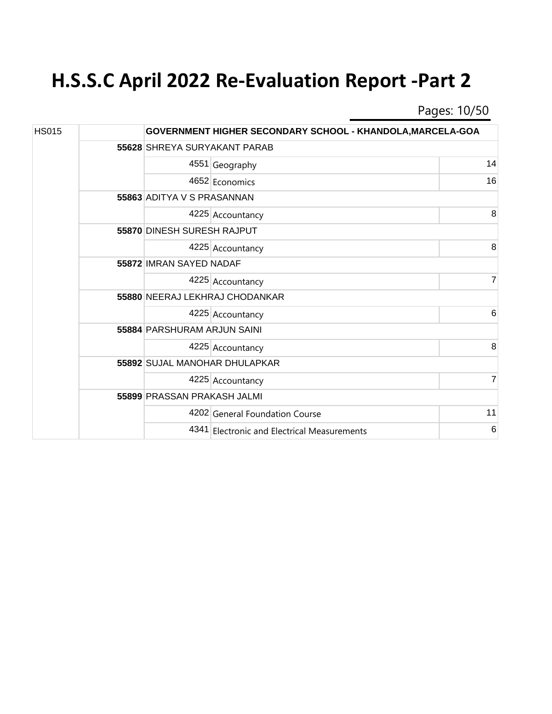Pages: 10/50

| <b>HS015</b> |  |                                | GOVERNMENT HIGHER SECONDARY SCHOOL - KHANDOLA, MARCELA-GOA |    |  |  |  |
|--------------|--|--------------------------------|------------------------------------------------------------|----|--|--|--|
|              |  |                                | 55628 SHREYA SURYAKANT PARAB                               |    |  |  |  |
|              |  |                                | 4551 Geography                                             | 14 |  |  |  |
|              |  |                                | 4652 Economics                                             | 16 |  |  |  |
|              |  | 55863 ADITYA V S PRASANNAN     |                                                            |    |  |  |  |
|              |  |                                | 4225 Accountancy                                           | 8  |  |  |  |
|              |  |                                | 55870 DINESH SURESH RAJPUT                                 |    |  |  |  |
|              |  |                                | 4225 Accountancy                                           | 8  |  |  |  |
|              |  | 55872 IMRAN SAYED NADAF        |                                                            |    |  |  |  |
|              |  |                                | 4225 Accountancy                                           | 7  |  |  |  |
|              |  | 55880 NEERAJ LEKHRAJ CHODANKAR |                                                            |    |  |  |  |
|              |  |                                | 4225 Accountancy                                           | 6  |  |  |  |
|              |  | 55884 PARSHURAM ARJUN SAINI    |                                                            |    |  |  |  |
|              |  |                                | 4225 Accountancy                                           | 8  |  |  |  |
|              |  |                                | 55892 SUJAL MANOHAR DHULAPKAR                              |    |  |  |  |
|              |  |                                | 4225 Accountancy                                           | 7  |  |  |  |
|              |  | 55899 PRASSAN PRAKASH JALMI    |                                                            |    |  |  |  |
|              |  |                                | 4202 General Foundation Course                             | 11 |  |  |  |
|              |  |                                | 4341 Electronic and Electrical Measurements                | 6  |  |  |  |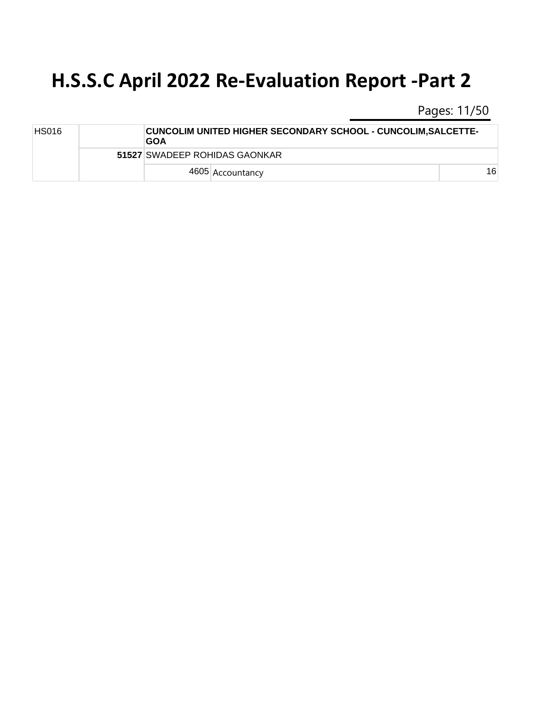Pages: 11/50

| HS016 | <b>CUNCOLIM UNITED HIGHER SECONDARY SCHOOL - CUNCOLIM, SALCETTE-</b><br><b>GOA</b> |    |
|-------|------------------------------------------------------------------------------------|----|
|       | 51527 SWADEEP ROHIDAS GAONKAR                                                      |    |
|       | 4605 Accountancy                                                                   | 16 |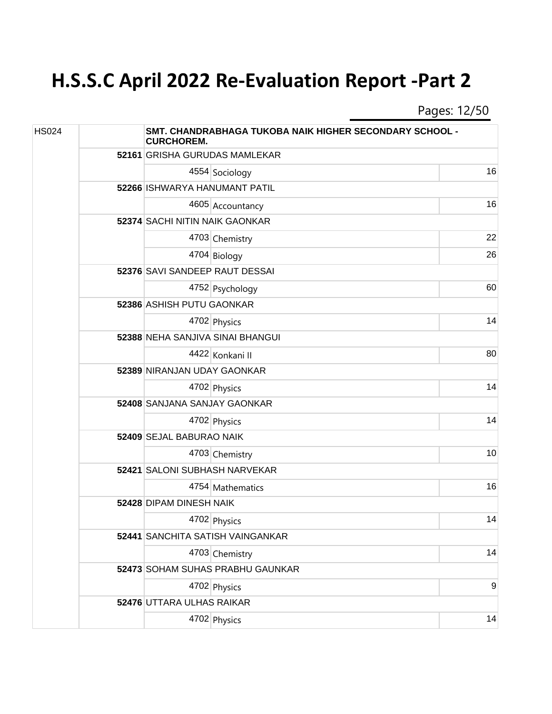Pages: 12/50

| <b>HS024</b> |  | SMT. CHANDRABHAGA TUKOBA NAIK HIGHER SECONDARY SCHOOL -<br><b>CURCHOREM.</b> |                                  |    |
|--------------|--|------------------------------------------------------------------------------|----------------------------------|----|
|              |  |                                                                              | 52161 GRISHA GURUDAS MAMLEKAR    |    |
|              |  |                                                                              | 4554 Sociology                   | 16 |
|              |  | 52266 ISHWARYA HANUMANT PATIL                                                |                                  |    |
|              |  |                                                                              | 4605 Accountancy                 | 16 |
|              |  | 52374 SACHI NITIN NAIK GAONKAR                                               |                                  |    |
|              |  |                                                                              | 4703 Chemistry                   | 22 |
|              |  |                                                                              | 4704 Biology                     | 26 |
|              |  | 52376 SAVI SANDEEP RAUT DESSAI                                               |                                  |    |
|              |  |                                                                              | 4752 Psychology                  | 60 |
|              |  | 52386 ASHISH PUTU GAONKAR                                                    |                                  |    |
|              |  |                                                                              | 4702 Physics                     | 14 |
|              |  |                                                                              | 52388 NEHA SANJIVA SINAI BHANGUI |    |
|              |  |                                                                              | 4422 Konkani II                  | 80 |
|              |  | 52389 NIRANJAN UDAY GAONKAR                                                  |                                  |    |
|              |  |                                                                              | 4702 Physics                     | 14 |
|              |  | 52408 SANJANA SANJAY GAONKAR                                                 |                                  |    |
|              |  |                                                                              | 4702 Physics                     | 14 |
|              |  | 52409 SEJAL BABURAO NAIK                                                     |                                  |    |
|              |  |                                                                              | 4703 Chemistry                   | 10 |
|              |  | 52421 SALONI SUBHASH NARVEKAR                                                |                                  |    |
|              |  |                                                                              | 4754 Mathematics                 | 16 |
|              |  | 52428 DIPAM DINESH NAIK                                                      |                                  |    |
|              |  |                                                                              | 4702 Physics                     | 14 |
|              |  |                                                                              | 52441 SANCHITA SATISH VAINGANKAR |    |
|              |  |                                                                              | 4703 Chemistry                   | 14 |
|              |  |                                                                              | 52473 SOHAM SUHAS PRABHU GAUNKAR |    |
|              |  |                                                                              | 4702 Physics                     | 9  |
|              |  | 52476 UTTARA ULHAS RAIKAR                                                    |                                  |    |
|              |  |                                                                              | 4702 Physics                     | 14 |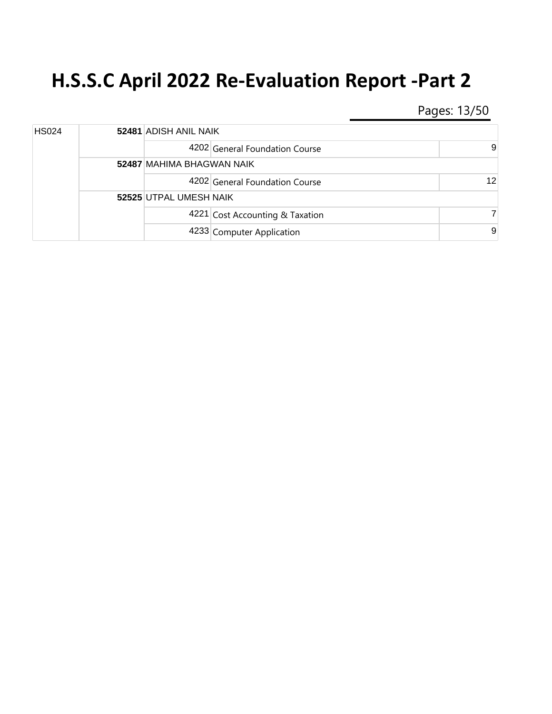Pages: 13/50

| <b>HS024</b> |  |                                  | 52481 ADISH ANIL NAIK           |    |  |
|--------------|--|----------------------------------|---------------------------------|----|--|
|              |  |                                  | 4202 General Foundation Course  | 9  |  |
|              |  | <b>52487 MAHIMA BHAGWAN NAIK</b> |                                 |    |  |
|              |  |                                  | 4202 General Foundation Course  | 12 |  |
|              |  | 52525 UTPAL UMESH NAIK           |                                 |    |  |
|              |  |                                  | 4221 Cost Accounting & Taxation |    |  |
|              |  |                                  | 4233 Computer Application       | 9  |  |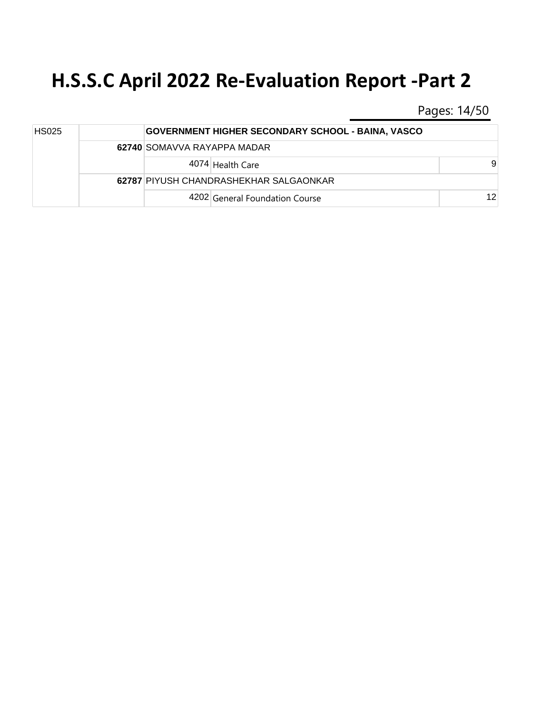Pages: 14/50

| <b>HS025</b> |  | <b>GOVERNMENT HIGHER SECONDARY SCHOOL - BAINA, VASCO</b> |                 |
|--------------|--|----------------------------------------------------------|-----------------|
|              |  | 62740 SOMAVVA RAYAPPA MADAR                              |                 |
|              |  | 4074 Health Care                                         | 9               |
|              |  | 62787 PIYUSH CHANDRASHEKHAR SALGAONKAR                   |                 |
|              |  | 4202 General Foundation Course                           | 12 <sup>1</sup> |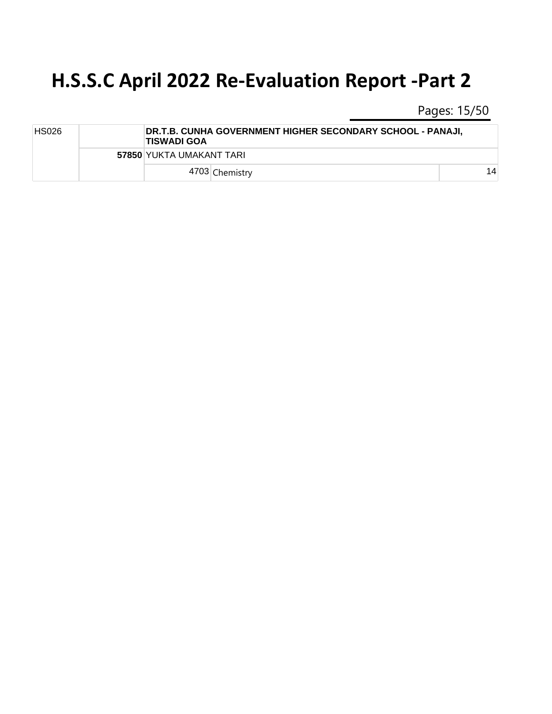Pages: 15/50

| <b>HS026</b> |  | ∣TISWADI GOA             | DR.T.B. CUNHA GOVERNMENT HIGHER SECONDARY SCHOOL - PANAJI, |    |  |
|--------------|--|--------------------------|------------------------------------------------------------|----|--|
|              |  | 57850 YUKTA UMAKANT TARI |                                                            |    |  |
|              |  |                          | 4703 Chemistry                                             | 14 |  |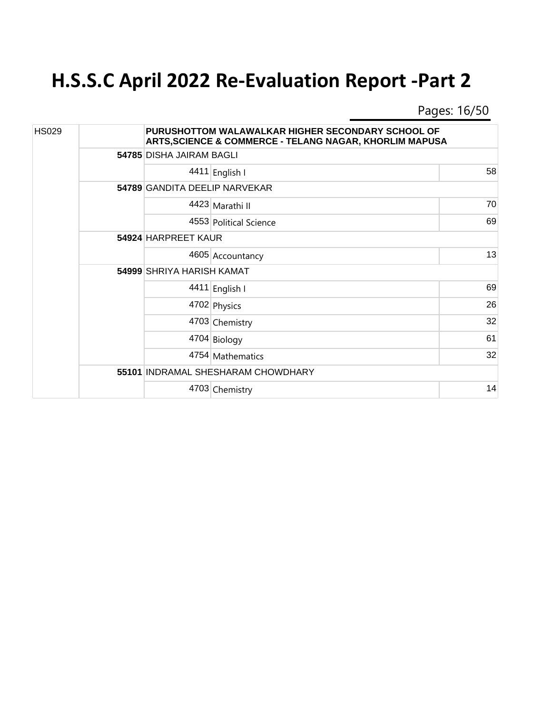Pages: 16/50

| <b>HS029</b> |                                  | PURUSHOTTOM WALAWALKAR HIGHER SECONDARY SCHOOL OF<br><b>ARTS, SCIENCE &amp; COMMERCE - TELANG NAGAR, KHORLIM MAPUSA</b> |    |  |
|--------------|----------------------------------|-------------------------------------------------------------------------------------------------------------------------|----|--|
|              | 54785 DISHA JAIRAM BAGLI         |                                                                                                                         |    |  |
|              |                                  | 4411 English I                                                                                                          | 58 |  |
|              |                                  | 54789 GANDITA DEELIP NARVEKAR                                                                                           |    |  |
|              |                                  | 4423 Marathi II                                                                                                         | 70 |  |
|              |                                  | 4553 Political Science                                                                                                  | 69 |  |
|              | 54924 HARPREET KAUR              |                                                                                                                         |    |  |
|              |                                  | 4605 Accountancy                                                                                                        | 13 |  |
|              | <b>54999 SHRIYA HARISH KAMAT</b> |                                                                                                                         |    |  |
|              |                                  | 4411 English I                                                                                                          | 69 |  |
|              |                                  | 4702 Physics                                                                                                            | 26 |  |
|              |                                  | 4703 Chemistry                                                                                                          | 32 |  |
|              |                                  | 4704 Biology                                                                                                            | 61 |  |
|              |                                  | 4754 Mathematics                                                                                                        | 32 |  |
|              |                                  | 55101 INDRAMAL SHESHARAM CHOWDHARY                                                                                      |    |  |
|              |                                  | 4703 Chemistry                                                                                                          | 14 |  |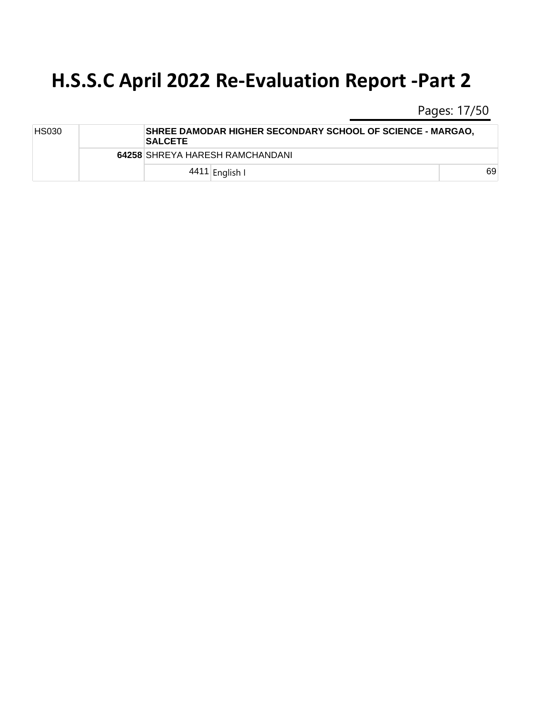Pages: 17/50

| <b>HS030</b> |  | SHREE DAMODAR HIGHER SECONDARY SCHOOL OF SCIENCE - MARGAO,<br><b>SALCETE</b> |    |
|--------------|--|------------------------------------------------------------------------------|----|
|              |  | 64258 SHREYA HARESH RAMCHANDANI                                              |    |
|              |  | 4411 English I                                                               | 69 |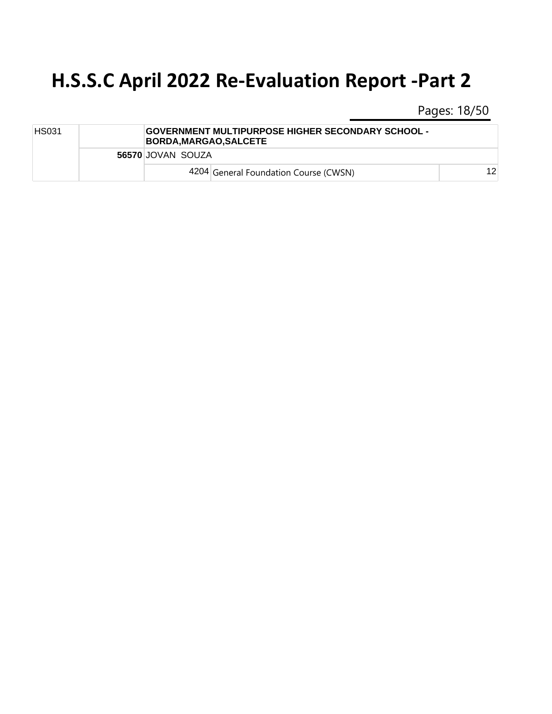Pages: 18/50

| <b>HS031</b> |  | GOVERNMENT MULTIPURPOSE HIGHER SECONDARY SCHOOL -<br><b>BORDA.MARGAO.SALCETE</b> |    |
|--------------|--|----------------------------------------------------------------------------------|----|
|              |  | 56570 JOVAN SOUZA                                                                |    |
|              |  | 4204 General Foundation Course (CWSN)                                            | 12 |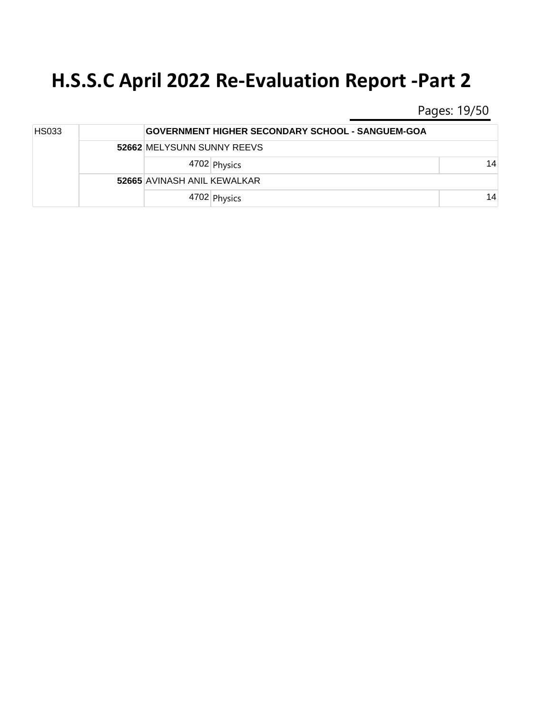Pages: 19/50

| <b>HS033</b> |  |                             | <b>GOVERNMENT HIGHER SECONDARY SCHOOL - SANGUEM-GOA</b> |    |  |
|--------------|--|-----------------------------|---------------------------------------------------------|----|--|
|              |  | 52662 MELYSUNN SUNNY REEVS  |                                                         |    |  |
|              |  |                             | 4702 Physics                                            | 14 |  |
|              |  | 52665 AVINASH ANIL KEWALKAR |                                                         |    |  |
|              |  |                             | 4702 Physics                                            | 14 |  |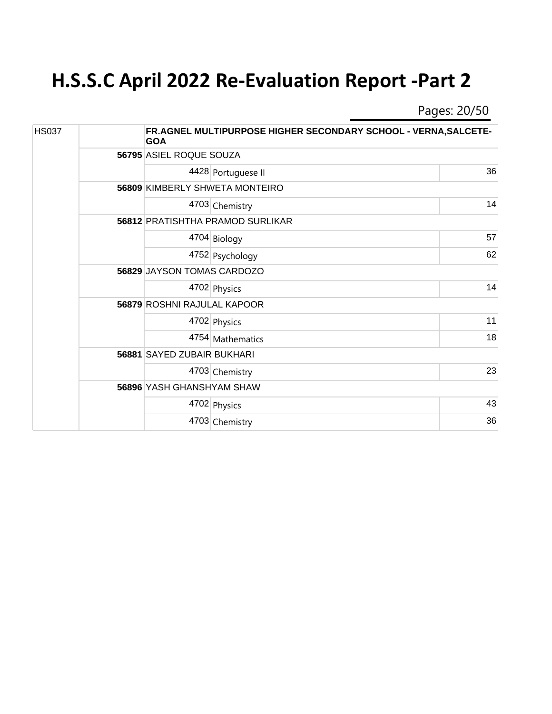Pages: 20/50

| <b>HS037</b> |  | <b>GOA</b>                       | FR.AGNEL MULTIPURPOSE HIGHER SECONDARY SCHOOL - VERNA, SALCETE- |    |  |
|--------------|--|----------------------------------|-----------------------------------------------------------------|----|--|
|              |  |                                  | 56795 ASIEL ROQUE SOUZA                                         |    |  |
|              |  |                                  | 4428 Portuguese II                                              | 36 |  |
|              |  |                                  | 56809 KIMBERLY SHWETA MONTEIRO                                  |    |  |
|              |  |                                  | 4703 Chemistry                                                  | 14 |  |
|              |  |                                  | 56812 PRATISHTHA PRAMOD SURLIKAR                                |    |  |
|              |  |                                  | 4704 Biology                                                    | 57 |  |
|              |  |                                  | 4752 Psychology                                                 | 62 |  |
|              |  | 56829 JAYSON TOMAS CARDOZO       |                                                                 |    |  |
|              |  |                                  | 4702 Physics                                                    | 14 |  |
|              |  | 56879 ROSHNI RAJULAL KAPOOR      |                                                                 |    |  |
|              |  |                                  | 4702 Physics                                                    | 11 |  |
|              |  |                                  | 4754 Mathematics                                                | 18 |  |
|              |  | 56881 SAYED ZUBAIR BUKHARI       |                                                                 |    |  |
|              |  |                                  | 4703 Chemistry                                                  | 23 |  |
|              |  | <b>56896 YASH GHANSHYAM SHAW</b> |                                                                 |    |  |
|              |  |                                  | 4702 Physics                                                    | 43 |  |
|              |  |                                  | 4703 Chemistry                                                  | 36 |  |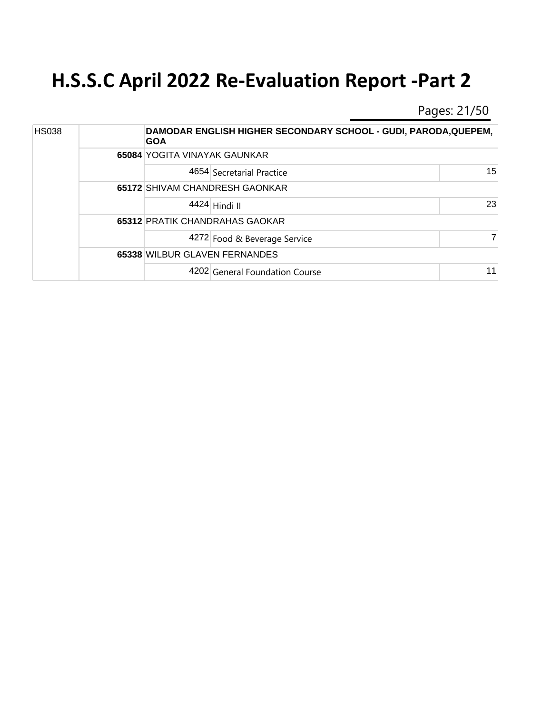Pages: 21/50

| <b>HS038</b> |  | <b>GOA</b>                     | DAMODAR ENGLISH HIGHER SECONDARY SCHOOL - GUDI, PARODA, QUEPEM, |    |  |  |  |
|--------------|--|--------------------------------|-----------------------------------------------------------------|----|--|--|--|
|              |  | 65084 YOGITA VINAYAK GAUNKAR   |                                                                 |    |  |  |  |
|              |  |                                | 4654 Secretarial Practice                                       | 15 |  |  |  |
|              |  |                                | 65172 SHIVAM CHANDRESH GAONKAR                                  |    |  |  |  |
|              |  |                                | 4424 Hindi II                                                   | 23 |  |  |  |
|              |  | 65312 PRATIK CHANDRAHAS GAOKAR |                                                                 |    |  |  |  |
|              |  |                                | 4272 Food & Beverage Service                                    |    |  |  |  |
|              |  | 65338 WILBUR GLAVEN FERNANDES  |                                                                 |    |  |  |  |
|              |  |                                | 4202 General Foundation Course                                  | 11 |  |  |  |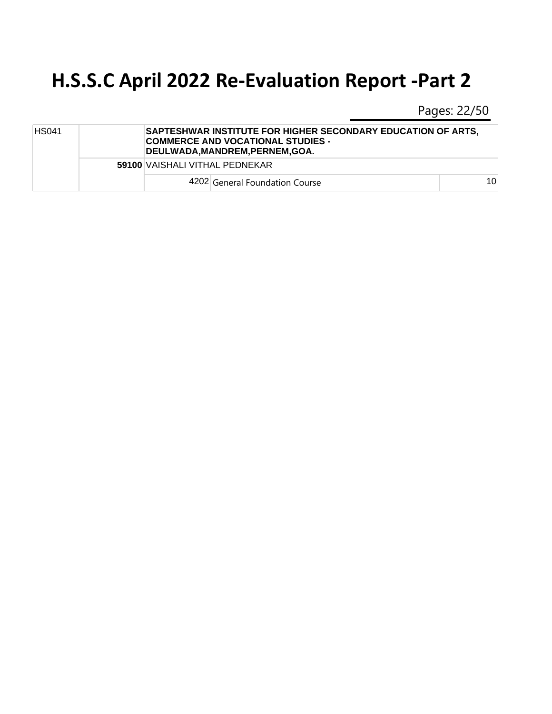Pages: 22/50

| <b>HS041</b> | <b>SAPTESHWAR INSTITUTE FOR HIGHER SECONDARY EDUCATION OF ARTS,</b><br>COMMERCE AND VOCATIONAL STUDIES -<br><b>DEULWADA.MANDREM.PERNEM.GOA.</b> |                 |  |  |  |
|--------------|-------------------------------------------------------------------------------------------------------------------------------------------------|-----------------|--|--|--|
|              | 59100 VAISHALI VITHAL PEDNEKAR                                                                                                                  |                 |  |  |  |
|              | 4202 General Foundation Course                                                                                                                  | 10 <sup>1</sup> |  |  |  |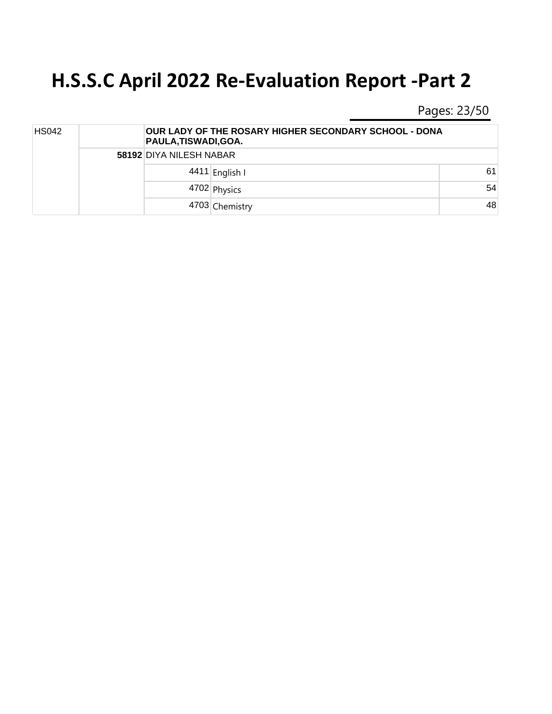Pages: 23/50

| <b>HS042</b> |  | <b>OUR LADY OF THE ROSARY HIGHER SECONDARY SCHOOL - DONA</b><br>PAULA, TISWADI, GOA. |    |  |
|--------------|--|--------------------------------------------------------------------------------------|----|--|
|              |  | 58192 DIYA NILESH NABAR                                                              |    |  |
|              |  | 4411 English I                                                                       | 61 |  |
|              |  | 4702 Physics                                                                         | 54 |  |
|              |  | 4703 Chemistry                                                                       | 48 |  |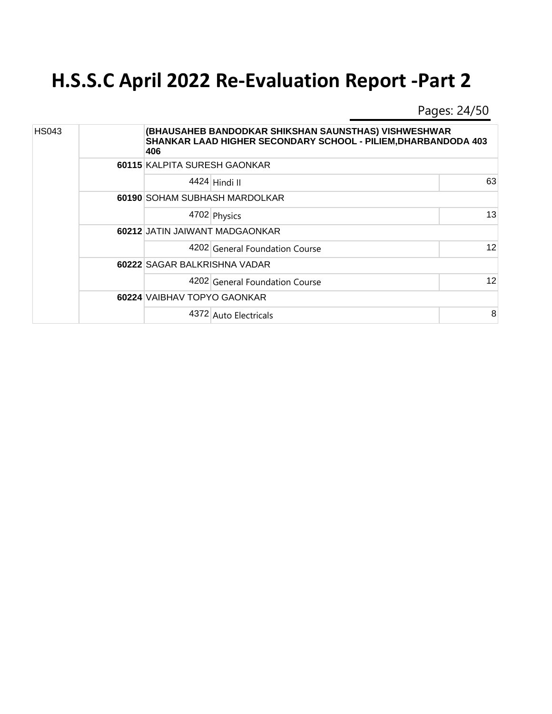Pages: 24/50

| <b>HS043</b> |  | 406                            | (BHAUSAHEB BANDODKAR SHIKSHAN SAUNSTHAS) VISHWESHWAR<br>SHANKAR LAAD HIGHER SECONDARY SCHOOL - PILIEM, DHARBANDODA 403 |    |  |
|--------------|--|--------------------------------|------------------------------------------------------------------------------------------------------------------------|----|--|
|              |  |                                | 60115 KALPITA SURESH GAONKAR                                                                                           |    |  |
|              |  |                                | 4424 Hindi II                                                                                                          | 63 |  |
|              |  |                                | 60190 SOHAM SUBHASH MARDOLKAR                                                                                          |    |  |
|              |  |                                | 4702 Physics                                                                                                           | 13 |  |
|              |  | 60212 JATIN JAIWANT MADGAONKAR |                                                                                                                        |    |  |
|              |  |                                | 4202 General Foundation Course                                                                                         | 12 |  |
|              |  | 60222 SAGAR BALKRISHNA VADAR   |                                                                                                                        |    |  |
|              |  |                                | 4202 General Foundation Course                                                                                         | 12 |  |
|              |  |                                | 60224 VAIBHAV TOPYO GAONKAR                                                                                            |    |  |
|              |  |                                | 4372 Auto Electricals                                                                                                  | 8  |  |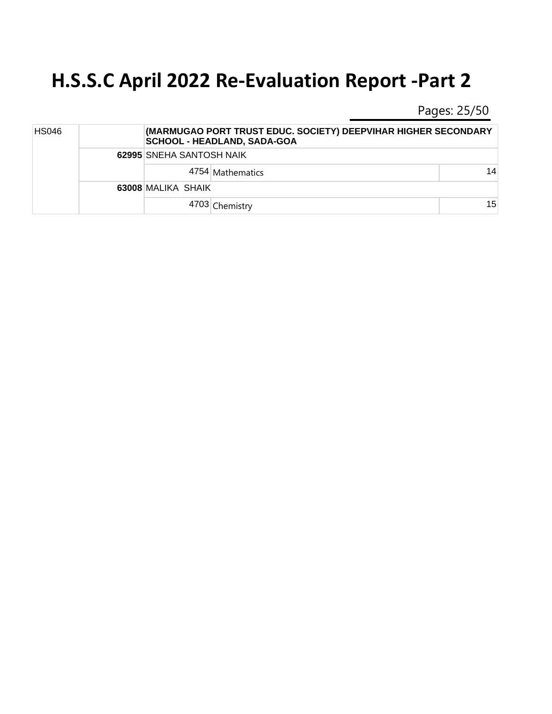Pages: 25/50

| <b>HS046</b> |  |                          | (MARMUGAO PORT TRUST EDUC. SOCIETY) DEEPVIHAR HIGHER SECONDARY<br><b>SCHOOL - HEADLAND, SADA-GOA</b> |    |  |
|--------------|--|--------------------------|------------------------------------------------------------------------------------------------------|----|--|
|              |  | 62995 SNEHA SANTOSH NAIK |                                                                                                      |    |  |
|              |  |                          | 4754 Mathematics                                                                                     | 14 |  |
|              |  | 63008 MALIKA SHAIK       |                                                                                                      |    |  |
|              |  |                          | 4703 Chemistry                                                                                       | 15 |  |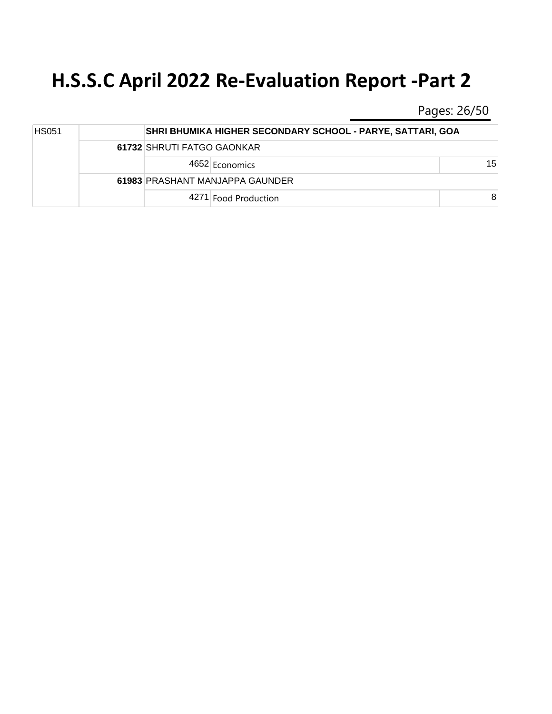Pages: 26/50

| <b>HS051</b> |  | SHRI BHUMIKA HIGHER SECONDARY SCHOOL - PARYE, SATTARI, GOA |                 |
|--------------|--|------------------------------------------------------------|-----------------|
|              |  | 61732 SHRUTI FATGO GAONKAR                                 |                 |
|              |  | 4652 Economics                                             | 15 <sup>1</sup> |
|              |  | 61983 PRASHANT MANJAPPA GAUNDER                            |                 |
|              |  | 4271 Food Production                                       | 8               |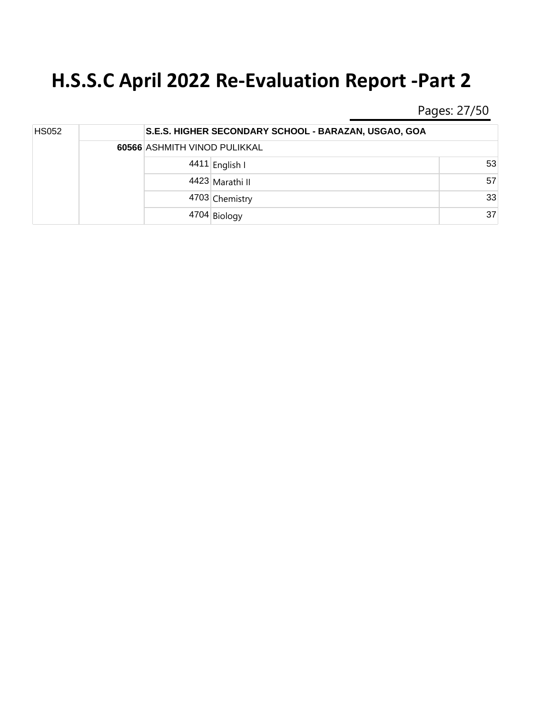Pages: 27/50

| <b>HS052</b> |  | S.E.S. HIGHER SECONDARY SCHOOL - BARAZAN, USGAO, GOA |                 |  |  |
|--------------|--|------------------------------------------------------|-----------------|--|--|
|              |  | 60566 ASHMITH VINOD PULIKKAL                         |                 |  |  |
|              |  | 4411 English I                                       | 53              |  |  |
|              |  | 4423 Marathi II                                      | 57              |  |  |
|              |  | 4703 Chemistry                                       | 33 <sup>1</sup> |  |  |
|              |  | 4704 Biology                                         | 37              |  |  |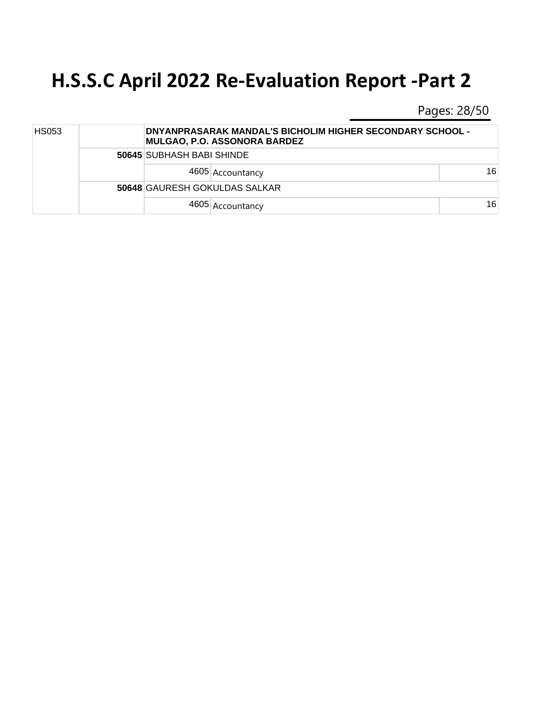Pages: 28/50

| <b>HS053</b> |  | <b>DNYANPRASARAK MANDAL'S BICHOLIM HIGHER SECONDARY SCHOOL -</b><br><b>MULGAO, P.O. ASSONORA BARDEZ</b> |    |  |
|--------------|--|---------------------------------------------------------------------------------------------------------|----|--|
|              |  | 50645 SUBHASH BABI SHINDE                                                                               |    |  |
|              |  | 4605 Accountancy                                                                                        | 16 |  |
|              |  | <b>50648 GAURESH GOKULDAS SALKAR</b>                                                                    |    |  |
|              |  | 4605 Accountancy                                                                                        | 16 |  |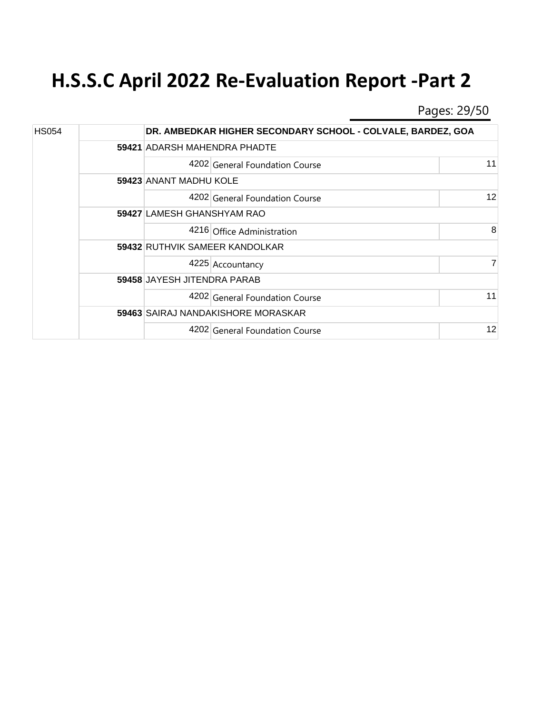Pages: 29/50

| <b>HS054</b> |  |                                    | DR. AMBEDKAR HIGHER SECONDARY SCHOOL - COLVALE, BARDEZ, GOA |    |  |  |
|--------------|--|------------------------------------|-------------------------------------------------------------|----|--|--|
|              |  |                                    | 59421 ADARSH MAHENDRA PHADTE                                |    |  |  |
|              |  |                                    | 4202 General Foundation Course                              | 11 |  |  |
|              |  |                                    | 59423 ANANT MADHU KOLE                                      |    |  |  |
|              |  |                                    | 4202 General Foundation Course                              | 12 |  |  |
|              |  | 59427 LAMESH GHANSHYAM RAO         |                                                             |    |  |  |
|              |  |                                    | 4216 Office Administration                                  | 8  |  |  |
|              |  | 59432 RUTHVIK SAMEER KANDOLKAR     |                                                             |    |  |  |
|              |  |                                    | 4225 Accountancy                                            |    |  |  |
|              |  | <b>59458 JAYESH JITENDRA PARAB</b> |                                                             |    |  |  |
|              |  |                                    | 4202 General Foundation Course                              | 11 |  |  |
|              |  |                                    | 59463 SAIRAJ NANDAKISHORE MORASKAR                          |    |  |  |
|              |  |                                    | 4202 General Foundation Course                              | 12 |  |  |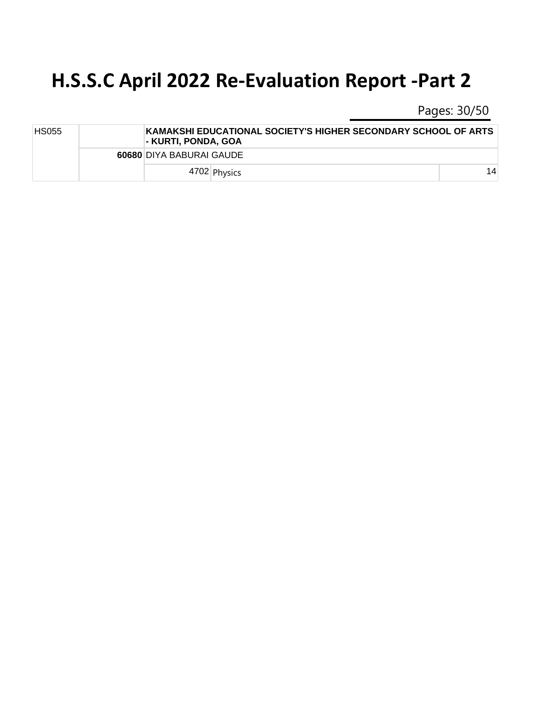Pages: 30/50

| <b>HS055</b> | KAMAKSHI EDUCATIONAL SOCIETY'S HIGHER SECONDARY SCHOOL OF ARTS<br>l- KURTI. PONDA. GOA |    |
|--------------|----------------------------------------------------------------------------------------|----|
|              | 60680 DIYA BABURAI GAUDE                                                               |    |
|              | 4702 Physics                                                                           | 14 |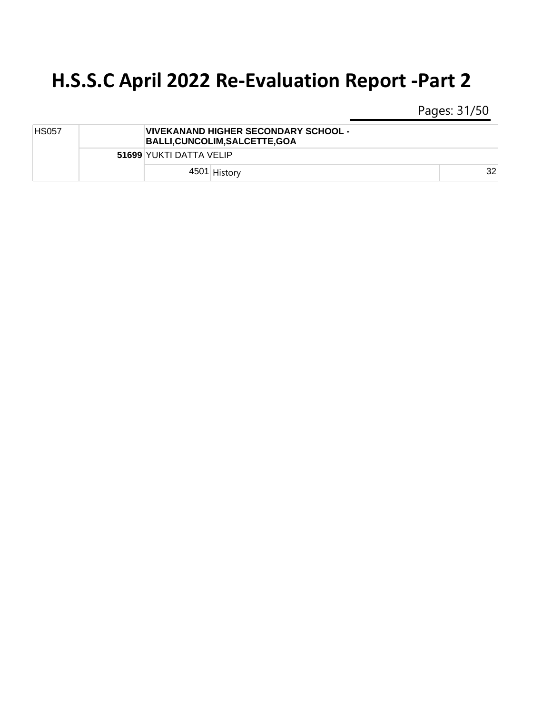Pages: 31/50

| <b>HS057</b> | VIVEKANAND HIGHER SECONDARY SCHOOL -<br>BALLI, CUNCOLIM, SALCETTE, GOA |    |
|--------------|------------------------------------------------------------------------|----|
|              | 51699 YUKTI DATTA VELIP                                                |    |
|              | 4501 History                                                           | 32 |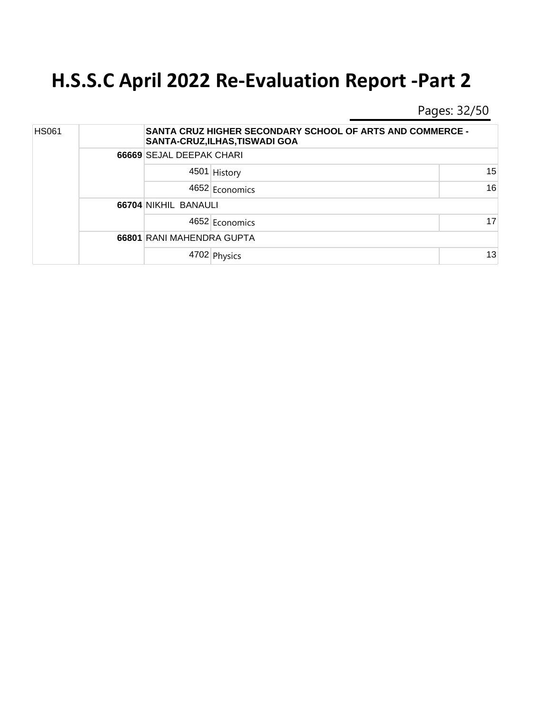Pages: 32/50

| <b>HS061</b> |  |                           | <b>SANTA CRUZ HIGHER SECONDARY SCHOOL OF ARTS AND COMMERCE -</b><br>SANTA-CRUZ, ILHAS, TISWADI GOA |    |  |  |
|--------------|--|---------------------------|----------------------------------------------------------------------------------------------------|----|--|--|
|              |  |                           | 66669 SEJAL DEEPAK CHARI                                                                           |    |  |  |
|              |  |                           | 4501 History                                                                                       | 15 |  |  |
|              |  |                           | 4652 Economics                                                                                     | 16 |  |  |
|              |  | 66704 NIKHIL BANAULI      |                                                                                                    |    |  |  |
|              |  |                           | 4652 Economics                                                                                     | 17 |  |  |
|              |  | 66801 RANI MAHENDRA GUPTA |                                                                                                    |    |  |  |
|              |  |                           | 4702 Physics                                                                                       | 13 |  |  |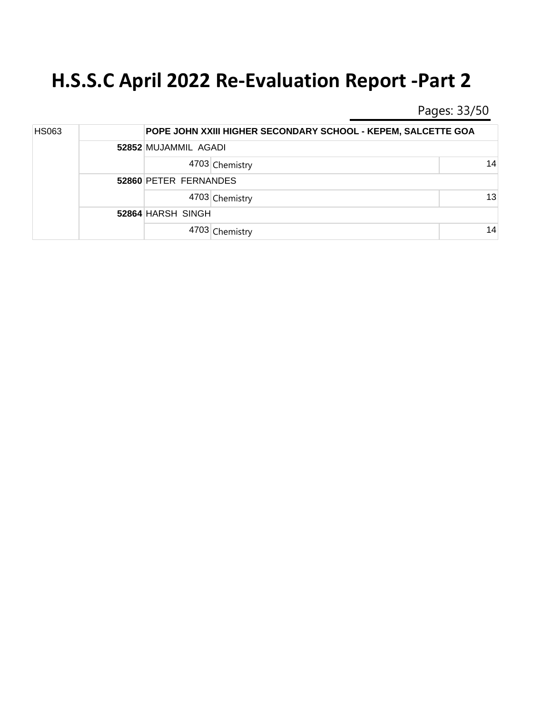Pages: 33/50

| <b>HS063</b> |  |                       | POPE JOHN XXIII HIGHER SECONDARY SCHOOL - KEPEM, SALCETTE GOA |    |  |  |  |
|--------------|--|-----------------------|---------------------------------------------------------------|----|--|--|--|
|              |  | 52852 MUJAMMIL AGADI  |                                                               |    |  |  |  |
|              |  |                       | 4703 Chemistry                                                | 14 |  |  |  |
|              |  | 52860 PETER FERNANDES |                                                               |    |  |  |  |
|              |  |                       | 4703 Chemistry                                                | 13 |  |  |  |
|              |  | 52864 HARSH SINGH     |                                                               |    |  |  |  |
|              |  |                       | 4703 Chemistry                                                | 14 |  |  |  |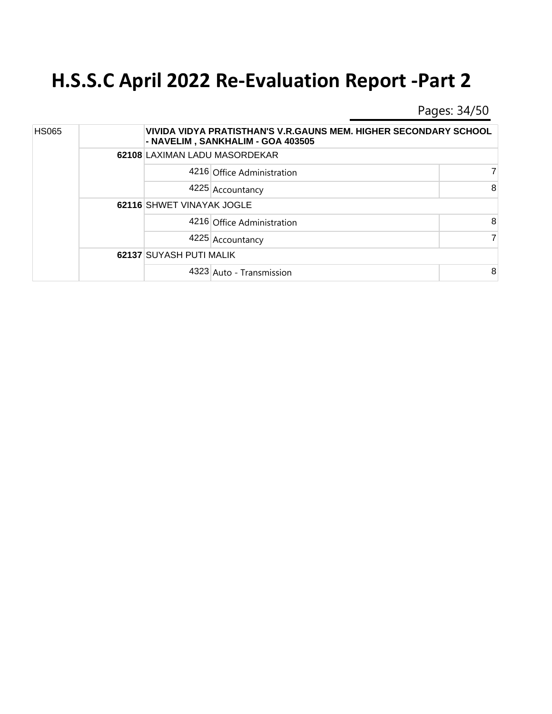Pages: 34/50

| <b>HS065</b> |  |                               | VIVIDA VIDYA PRATISTHAN'S V.R.GAUNS MEM. HIGHER SECONDARY SCHOOL<br>- NAVELIM, SANKHALIM - GOA 403505 |   |
|--------------|--|-------------------------------|-------------------------------------------------------------------------------------------------------|---|
|              |  | 62108 LAXIMAN LADU MASORDEKAR |                                                                                                       |   |
|              |  |                               | 4216 Office Administration                                                                            |   |
|              |  |                               | 4225 Accountancy                                                                                      | 8 |
|              |  | 62116 SHWET VINAYAK JOGLE     |                                                                                                       |   |
|              |  |                               | 4216 Office Administration                                                                            | 8 |
|              |  |                               | 4225 Accountancy                                                                                      |   |
|              |  | 62137 SUYASH PUTI MALIK       |                                                                                                       |   |
|              |  |                               | 4323 Auto - Transmission                                                                              | 8 |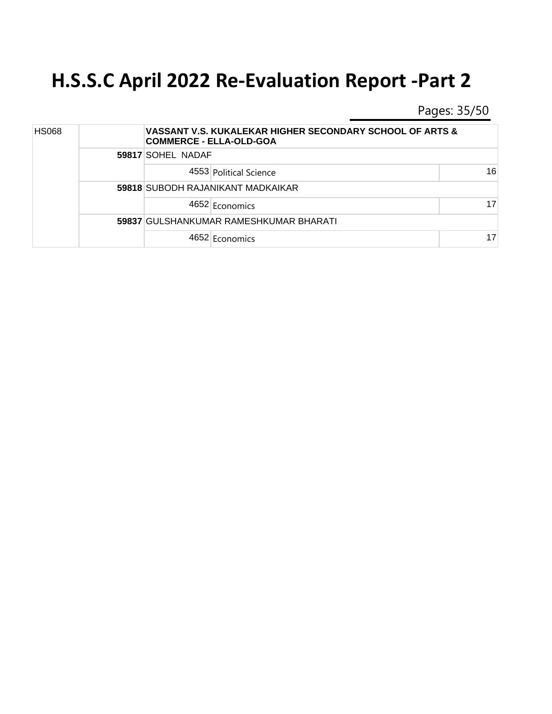Pages: 35/50

| <b>HS068</b> |  |                                   | VASSANT V.S. KUKALEKAR HIGHER SECONDARY SCHOOL OF ARTS &<br><b>COMMERCE - ELLA-OLD-GOA</b> |    |  |  |
|--------------|--|-----------------------------------|--------------------------------------------------------------------------------------------|----|--|--|
|              |  | 59817 SOHEL NADAF                 |                                                                                            |    |  |  |
|              |  |                                   | 4553 Political Science                                                                     | 16 |  |  |
|              |  | 59818 SUBODH RAJANIKANT MADKAIKAR |                                                                                            |    |  |  |
|              |  |                                   | 4652 Economics                                                                             | 17 |  |  |
|              |  |                                   | 59837 GULSHANKUMAR RAMESHKUMAR BHARATI                                                     |    |  |  |
|              |  |                                   | 4652 Economics                                                                             | 17 |  |  |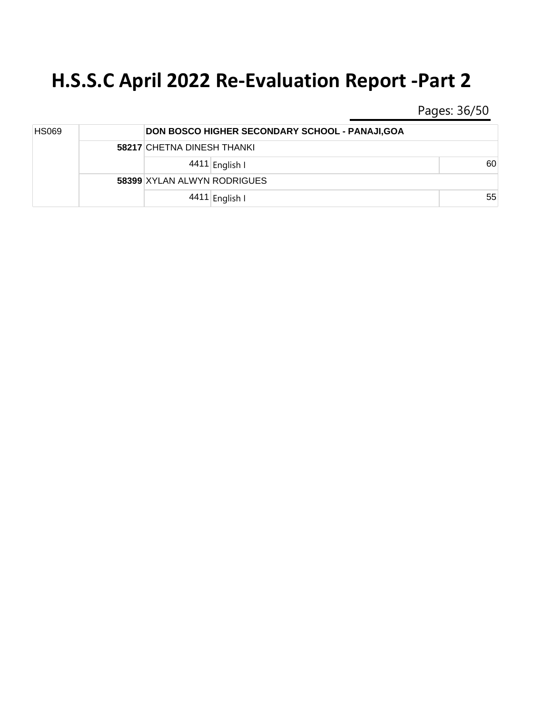Pages: 36/50

| HS069 |  |                             | DON BOSCO HIGHER SECONDARY SCHOOL - PANAJI, GOA |    |  |
|-------|--|-----------------------------|-------------------------------------------------|----|--|
|       |  | 58217 CHETNA DINESH THANKI  |                                                 |    |  |
|       |  |                             | 4411 English I                                  | 60 |  |
|       |  | 58399 XYLAN ALWYN RODRIGUES |                                                 |    |  |
|       |  |                             | 4411 English I                                  | 55 |  |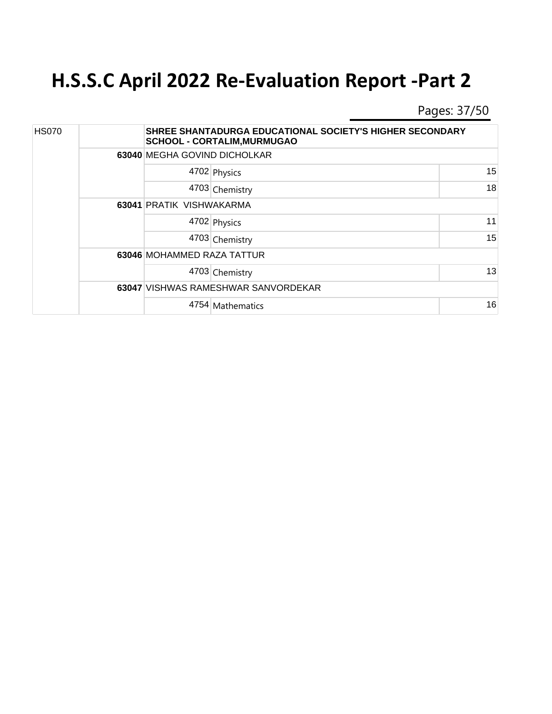Pages: 37/50

| <b>HS070</b> |  |                              | SHREE SHANTADURGA EDUCATIONAL SOCIETY'S HIGHER SECONDARY<br><b>SCHOOL - CORTALIM, MURMUGAO</b> |    |  |
|--------------|--|------------------------------|------------------------------------------------------------------------------------------------|----|--|
|              |  | 63040 MEGHA GOVIND DICHOLKAR |                                                                                                |    |  |
|              |  |                              | 4702 Physics                                                                                   | 15 |  |
|              |  |                              | 4703 Chemistry                                                                                 | 18 |  |
|              |  | 63041 PRATIK VISHWAKARMA     |                                                                                                |    |  |
|              |  |                              | 4702 Physics                                                                                   | 11 |  |
|              |  |                              | 4703 Chemistry                                                                                 | 15 |  |
|              |  | 63046 MOHAMMED RAZA TATTUR   |                                                                                                |    |  |
|              |  |                              | 4703 Chemistry                                                                                 | 13 |  |
|              |  |                              | 63047 VISHWAS RAMESHWAR SANVORDEKAR                                                            |    |  |
|              |  |                              | 4754 Mathematics                                                                               | 16 |  |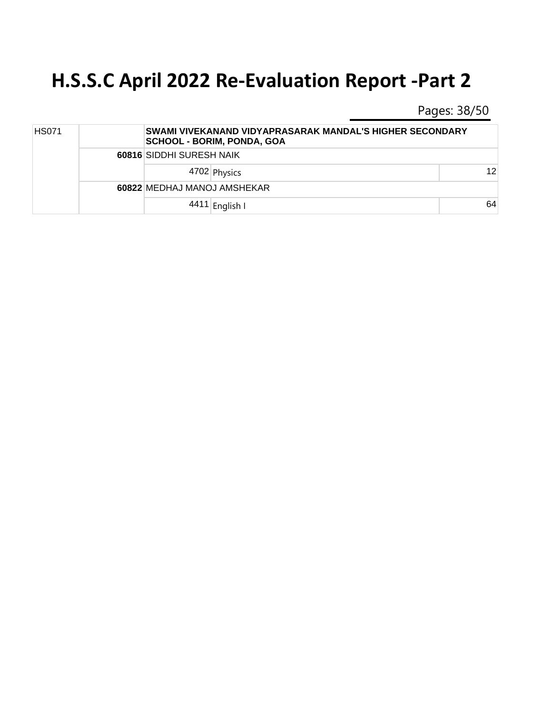Pages: 38/50

| <b>HS071</b> |  |                             | SWAMI VIVEKANAND VIDYAPRASARAK MANDAL'S HIGHER SECONDARY<br><b>SCHOOL - BORIM, PONDA, GOA</b> |    |  |
|--------------|--|-----------------------------|-----------------------------------------------------------------------------------------------|----|--|
|              |  | 60816 SIDDHI SURESH NAIK    |                                                                                               |    |  |
|              |  |                             | 4702 Physics                                                                                  | 12 |  |
|              |  | 60822 MEDHAJ MANOJ AMSHEKAR |                                                                                               |    |  |
|              |  |                             | 4411 English I                                                                                | 64 |  |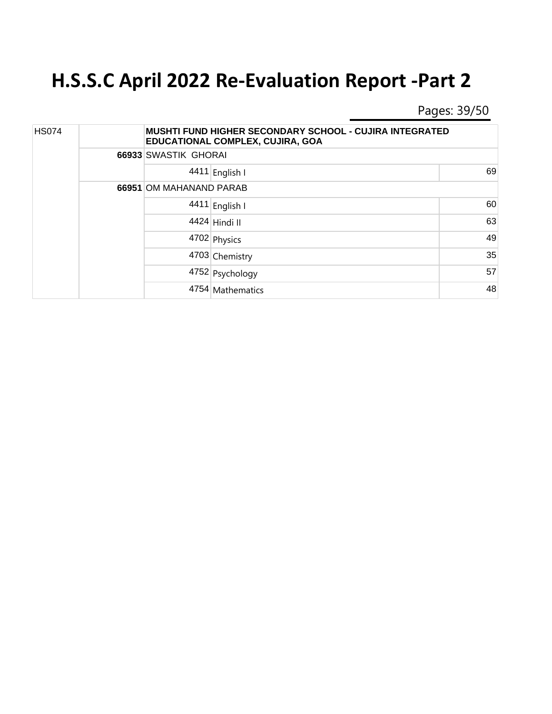Pages: 39/50

| <b>HS074</b> |  | <b>MUSHTI FUND HIGHER SECONDARY SCHOOL - CUJIRA INTEGRATED</b><br>EDUCATIONAL COMPLEX, CUJIRA, GOA |    |  |
|--------------|--|----------------------------------------------------------------------------------------------------|----|--|
|              |  | 66933 SWASTIK GHORAI                                                                               |    |  |
|              |  | 4411 English I                                                                                     | 69 |  |
|              |  | 66951 OM MAHANAND PARAB                                                                            |    |  |
|              |  | 4411 English I                                                                                     | 60 |  |
|              |  | 4424 Hindi II                                                                                      | 63 |  |
|              |  | 4702 Physics                                                                                       | 49 |  |
|              |  | 4703 Chemistry                                                                                     | 35 |  |
|              |  | 4752 Psychology                                                                                    | 57 |  |
|              |  | 4754 Mathematics                                                                                   | 48 |  |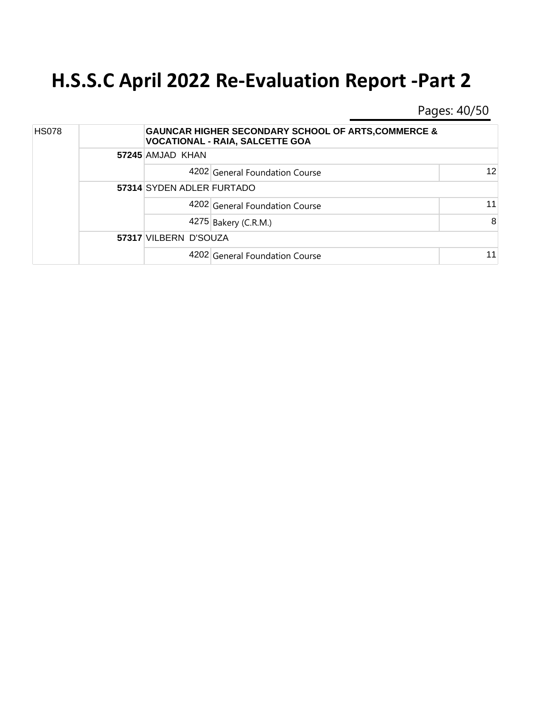Pages: 40/50

| <b>HS078</b> |  |                           | <b>GAUNCAR HIGHER SECONDARY SCHOOL OF ARTS, COMMERCE &amp;</b><br><b>VOCATIONAL - RAIA, SALCETTE GOA</b> |    |  |
|--------------|--|---------------------------|----------------------------------------------------------------------------------------------------------|----|--|
|              |  | 57245 AMJAD KHAN          |                                                                                                          |    |  |
|              |  |                           | 4202 General Foundation Course                                                                           | 12 |  |
|              |  | 57314 SYDEN ADLER FURTADO |                                                                                                          |    |  |
|              |  |                           | 4202 General Foundation Course                                                                           | 11 |  |
|              |  |                           | 4275 Bakery (C.R.M.)                                                                                     | 8  |  |
|              |  | 57317 VILBERN D'SOUZA     |                                                                                                          |    |  |
|              |  |                           | 4202 General Foundation Course                                                                           | 11 |  |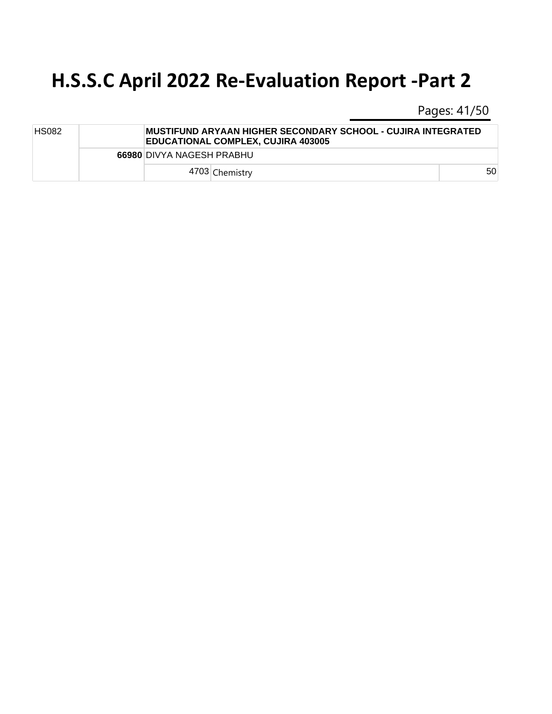Pages: 41/50

| <b>HS082</b> |  |                           | IMUSTIFUND ARYAAN HIGHER SECONDARY SCHOOL - CUJIRA INTEGRATED<br><b>EDUCATIONAL COMPLEX, CUJIRA 403005</b> |    |  |  |  |
|--------------|--|---------------------------|------------------------------------------------------------------------------------------------------------|----|--|--|--|
|              |  | 66980 DIVYA NAGESH PRABHU |                                                                                                            |    |  |  |  |
|              |  | 4703 Chemistry            |                                                                                                            | 50 |  |  |  |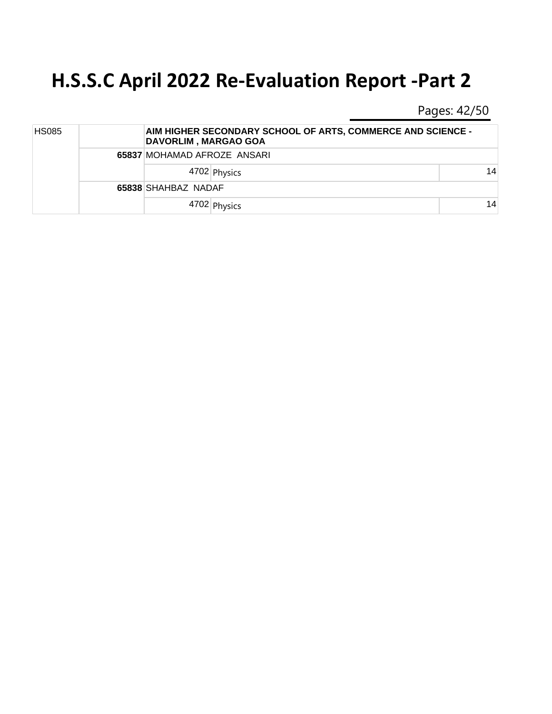Pages: 42/50

| <b>HS085</b> |  |                             | AIM HIGHER SECONDARY SCHOOL OF ARTS, COMMERCE AND SCIENCE -<br><b>DAVORLIM, MARGAO GOA</b> |    |  |
|--------------|--|-----------------------------|--------------------------------------------------------------------------------------------|----|--|
|              |  | 65837 MOHAMAD AFROZE ANSARI |                                                                                            |    |  |
|              |  |                             | 4702 Physics                                                                               | 14 |  |
|              |  | 65838 SHAHBAZ NADAF         |                                                                                            |    |  |
|              |  |                             | 4702 Physics                                                                               | 14 |  |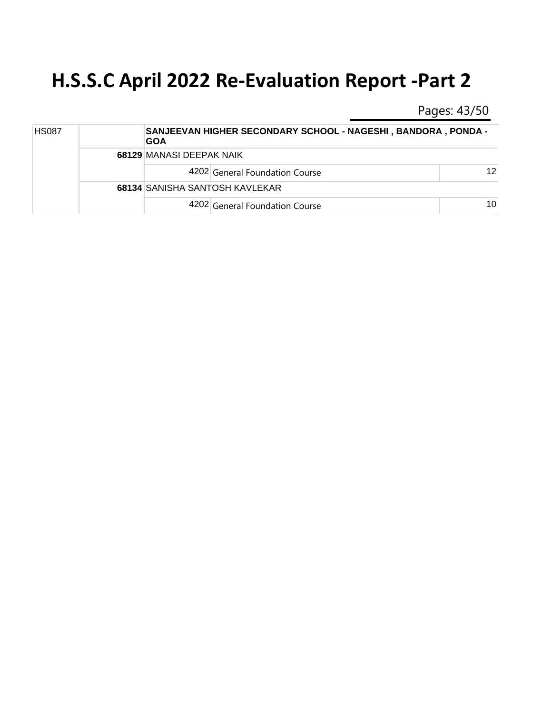Pages: 43/50

| <b>HS087</b> |  | <b>GOA</b>               | <b>SANJEEVAN HIGHER SECONDARY SCHOOL - NAGESHI, BANDORA, PONDA -</b> |                 |  |
|--------------|--|--------------------------|----------------------------------------------------------------------|-----------------|--|
|              |  | 68129 MANASI DEEPAK NAIK |                                                                      |                 |  |
|              |  |                          | 4202 General Foundation Course                                       | 12 <sup>1</sup> |  |
|              |  |                          | 68134 SANISHA SANTOSH KAVLEKAR                                       |                 |  |
|              |  |                          | 4202 General Foundation Course                                       | 10 <sup>1</sup> |  |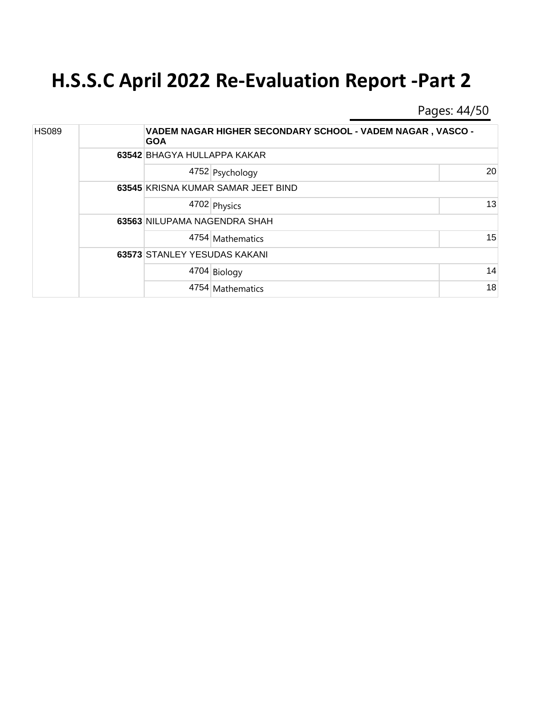Pages: 44/50

| <b>HS089</b> |  | <b>GOA</b>                   | VADEM NAGAR HIGHER SECONDARY SCHOOL - VADEM NAGAR, VASCO - |    |  |  |
|--------------|--|------------------------------|------------------------------------------------------------|----|--|--|
|              |  |                              | 63542 BHAGYA HULLAPPA KAKAR                                |    |  |  |
|              |  |                              | 4752 Psychology                                            | 20 |  |  |
|              |  |                              | 63545 KRISNA KUMAR SAMAR JEET BIND                         |    |  |  |
|              |  |                              | 4702 Physics                                               | 13 |  |  |
|              |  | 63563 NILUPAMA NAGENDRA SHAH |                                                            |    |  |  |
|              |  |                              | 4754 Mathematics                                           | 15 |  |  |
|              |  | 63573 STANLEY YESUDAS KAKANI |                                                            |    |  |  |
|              |  |                              | 4704 Biology                                               | 14 |  |  |
|              |  |                              | 4754 Mathematics                                           | 18 |  |  |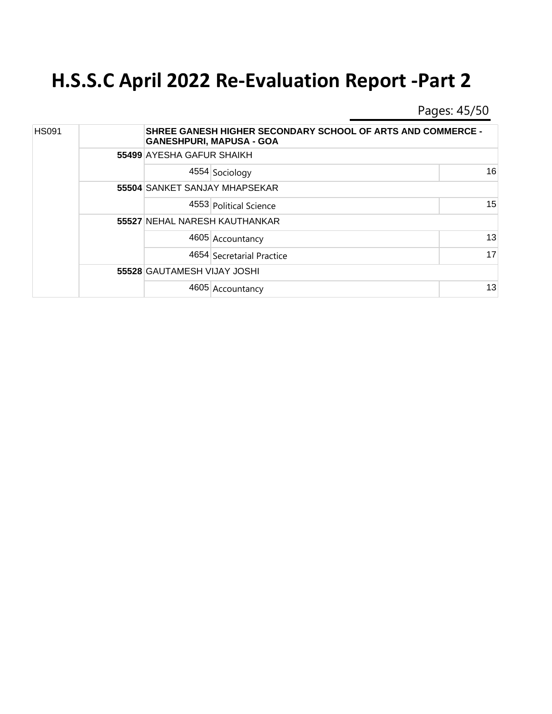Pages: 45/50

| <b>HS091</b> |  | <b>SHREE GANESH HIGHER SECONDARY SCHOOL OF ARTS AND COMMERCE -</b><br><b>GANESHPURI, MAPUSA - GOA</b> |    |  |
|--------------|--|-------------------------------------------------------------------------------------------------------|----|--|
|              |  | 55499 AYESHA GAFUR SHAIKH                                                                             |    |  |
|              |  | 4554 Sociology                                                                                        | 16 |  |
|              |  | 55504 SANKET SANJAY MHAPSEKAR                                                                         |    |  |
|              |  | 4553 Political Science                                                                                | 15 |  |
|              |  | 55527 NEHAL NARESH KAUTHANKAR                                                                         |    |  |
|              |  | 4605 Accountancy                                                                                      | 13 |  |
|              |  | 4654 Secretarial Practice                                                                             | 17 |  |
|              |  | 55528 GAUTAMESH VIJAY JOSHI                                                                           |    |  |
|              |  | 4605 Accountancy                                                                                      | 13 |  |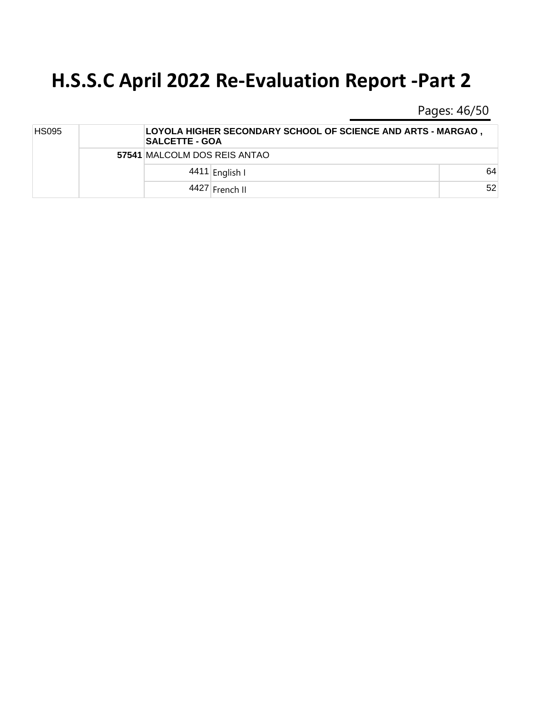Pages: 46/50

| <b>HS095</b> |  |                              | LOYOLA HIGHER SECONDARY SCHOOL OF SCIENCE AND ARTS - MARGAO,<br><b>SALCETTE - GOA</b> |    |  |
|--------------|--|------------------------------|---------------------------------------------------------------------------------------|----|--|
|              |  | 57541 MALCOLM DOS REIS ANTAO |                                                                                       |    |  |
|              |  |                              | 4411 English I                                                                        | 64 |  |
|              |  |                              | 4427 French II                                                                        | 52 |  |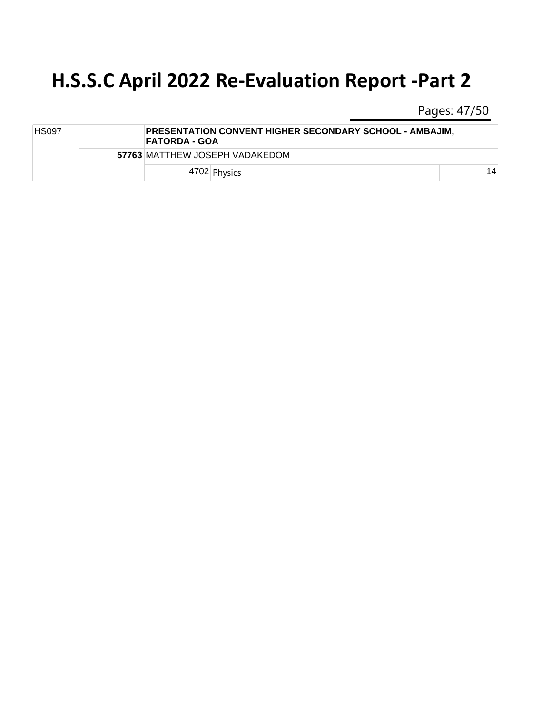Pages: 47/50

| <b>HS097</b> |  | PRESENTATION CONVENT HIGHER SECONDARY SCHOOL - AMBAJIM,<br> FATORDA - GOA |    |
|--------------|--|---------------------------------------------------------------------------|----|
|              |  | 57763 MATTHEW JOSEPH VADAKEDOM                                            |    |
|              |  | 4702 Physics                                                              | 14 |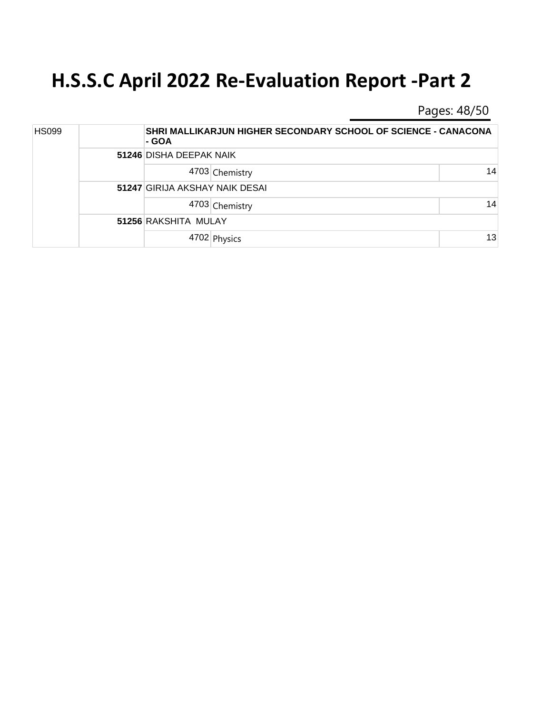Pages: 48/50

| <b>HS099</b> |  | - GOA                          | SHRI MALLIKARJUN HIGHER SECONDARY SCHOOL OF SCIENCE - CANACONA |    |  |
|--------------|--|--------------------------------|----------------------------------------------------------------|----|--|
|              |  |                                | 51246 DISHA DEEPAK NAIK                                        |    |  |
|              |  |                                | 4703 Chemistry                                                 | 14 |  |
|              |  | 51247 GIRIJA AKSHAY NAIK DESAI |                                                                |    |  |
|              |  |                                | 4703 Chemistry                                                 | 14 |  |
|              |  | 51256 RAKSHITA MULAY           |                                                                |    |  |
|              |  |                                | 4702 Physics                                                   | 13 |  |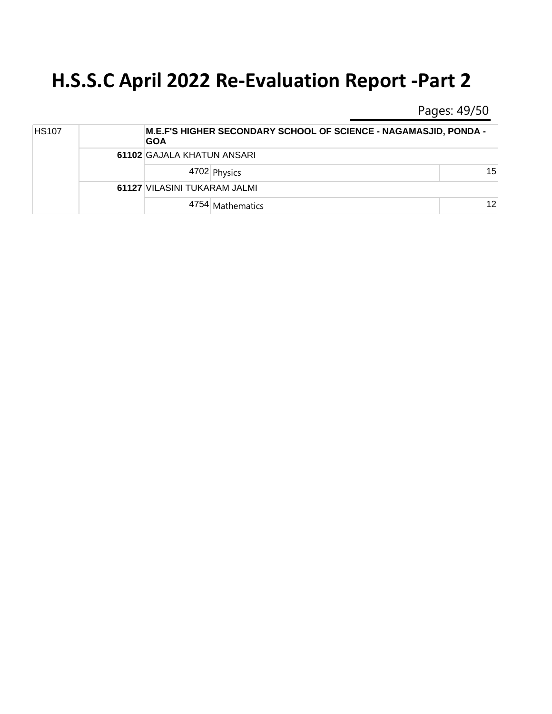Pages: 49/50

| <b>HS107</b> |  | M.E.F'S HIGHER SECONDARY SCHOOL OF SCIENCE - NAGAMASJID, PONDA -<br><b>GOA</b> |                  |    |  |  |
|--------------|--|--------------------------------------------------------------------------------|------------------|----|--|--|
|              |  | 61102 GAJALA KHATUN ANSARI                                                     |                  |    |  |  |
|              |  |                                                                                | 4702 Physics     | 15 |  |  |
|              |  | 61127 VILASINI TUKARAM JALMI                                                   |                  |    |  |  |
|              |  |                                                                                | 4754 Mathematics | 12 |  |  |